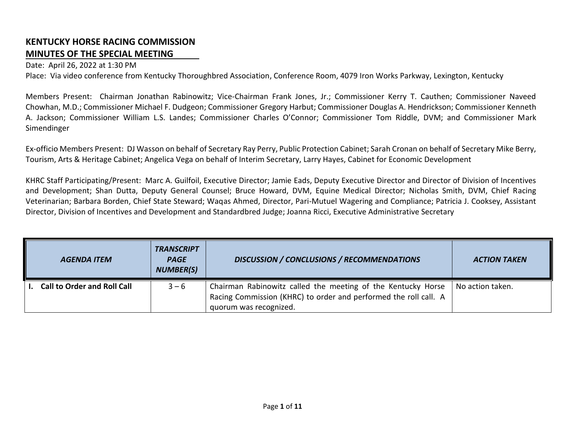## **KENTUCKY HORSE RACING COMMISSION MINUTES OF THE SPECIAL MEETING**

## Date: April 26, 2022 at 1:30 PM

Place: Via video conference from Kentucky Thoroughbred Association, Conference Room, 4079 Iron Works Parkway, Lexington, Kentucky

Members Present: Chairman Jonathan Rabinowitz; Vice-Chairman Frank Jones, Jr.; Commissioner Kerry T. Cauthen; Commissioner Naveed Chowhan, M.D.; Commissioner Michael F. Dudgeon; Commissioner Gregory Harbut; Commissioner Douglas A. Hendrickson; Commissioner Kenneth A. Jackson; Commissioner William L.S. Landes; Commissioner Charles O'Connor; Commissioner Tom Riddle, DVM; and Commissioner Mark Simendinger

Ex-officio Members Present: DJ Wasson on behalf of Secretary Ray Perry, Public Protection Cabinet; Sarah Cronan on behalf of Secretary Mike Berry, Tourism, Arts & Heritage Cabinet; Angelica Vega on behalf of Interim Secretary, Larry Hayes, Cabinet for Economic Development

KHRC Staff Participating/Present: Marc A. Guilfoil, Executive Director; Jamie Eads, Deputy Executive Director and Director of Division of Incentives and Development; Shan Dutta, Deputy General Counsel; Bruce Howard, DVM, Equine Medical Director; Nicholas Smith, DVM, Chief Racing Veterinarian; Barbara Borden, Chief State Steward; Waqas Ahmed, Director, Pari-Mutuel Wagering and Compliance; Patricia J. Cooksey, Assistant Director, Division of Incentives and Development and Standardbred Judge; Joanna Ricci, Executive Administrative Secretary

| <b>AGENDA ITEM</b>                 | <b>TRANSCRIPT</b><br><b>PAGE</b><br><b>NUMBER(S)</b> | <b>DISCUSSION / CONCLUSIONS / RECOMMENDATIONS</b>                                                                                                          | <b>ACTION TAKEN</b> |
|------------------------------------|------------------------------------------------------|------------------------------------------------------------------------------------------------------------------------------------------------------------|---------------------|
| <b>Call to Order and Roll Call</b> | $3 - 6$                                              | Chairman Rabinowitz called the meeting of the Kentucky Horse<br>Racing Commission (KHRC) to order and performed the roll call. A<br>quorum was recognized. | No action taken.    |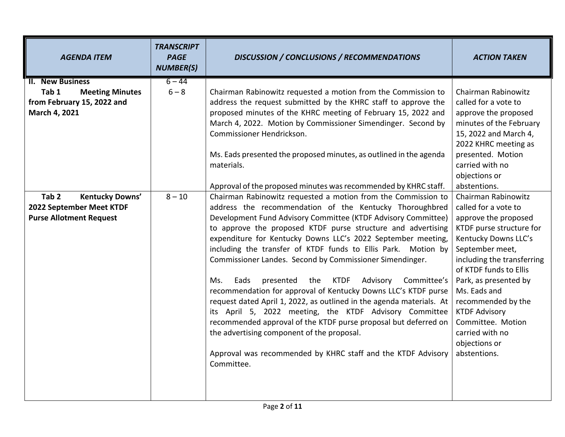| <b>AGENDA ITEM</b>                                                                                                                                                                                             | <b>TRANSCRIPT</b><br><b>PAGE</b><br><b>NUMBER(S)</b> | <b>DISCUSSION / CONCLUSIONS / RECOMMENDATIONS</b>                                                                                                                                                                                                                                                                                                                                                                                                                                                                                                                                                                                                                                                                                                                                                                                                                                                                                                                                                                                                                                                                                                                                                                                                                                                                                                                                              | <b>ACTION TAKEN</b>                                                                                                                                                                                                                                                                                                                                                                                                                                                                                                                                                                            |
|----------------------------------------------------------------------------------------------------------------------------------------------------------------------------------------------------------------|------------------------------------------------------|------------------------------------------------------------------------------------------------------------------------------------------------------------------------------------------------------------------------------------------------------------------------------------------------------------------------------------------------------------------------------------------------------------------------------------------------------------------------------------------------------------------------------------------------------------------------------------------------------------------------------------------------------------------------------------------------------------------------------------------------------------------------------------------------------------------------------------------------------------------------------------------------------------------------------------------------------------------------------------------------------------------------------------------------------------------------------------------------------------------------------------------------------------------------------------------------------------------------------------------------------------------------------------------------------------------------------------------------------------------------------------------------|------------------------------------------------------------------------------------------------------------------------------------------------------------------------------------------------------------------------------------------------------------------------------------------------------------------------------------------------------------------------------------------------------------------------------------------------------------------------------------------------------------------------------------------------------------------------------------------------|
| <b>II. New Business</b><br>Tab 1<br><b>Meeting Minutes</b><br>from February 15, 2022 and<br>March 4, 2021<br>Tab <sub>2</sub><br>Kentucky Downs'<br>2022 September Meet KTDF<br><b>Purse Allotment Request</b> | $6 - 44$<br>$6 - 8$<br>$8 - 10$                      | Chairman Rabinowitz requested a motion from the Commission to<br>address the request submitted by the KHRC staff to approve the<br>proposed minutes of the KHRC meeting of February 15, 2022 and<br>March 4, 2022. Motion by Commissioner Simendinger. Second by<br>Commissioner Hendrickson.<br>Ms. Eads presented the proposed minutes, as outlined in the agenda<br>materials.<br>Approval of the proposed minutes was recommended by KHRC staff.<br>Chairman Rabinowitz requested a motion from the Commission to<br>address the recommendation of the Kentucky Thoroughbred<br>Development Fund Advisory Committee (KTDF Advisory Committee)<br>to approve the proposed KTDF purse structure and advertising<br>expenditure for Kentucky Downs LLC's 2022 September meeting,<br>including the transfer of KTDF funds to Ellis Park. Motion by<br>Commissioner Landes. Second by Commissioner Simendinger.<br><b>KTDF</b><br>Advisory<br>Eads<br>presented<br>the<br>Committee's<br>Ms.<br>recommendation for approval of Kentucky Downs LLC's KTDF purse<br>request dated April 1, 2022, as outlined in the agenda materials. At<br>its April 5, 2022 meeting, the KTDF Advisory Committee<br>recommended approval of the KTDF purse proposal but deferred on<br>the advertising component of the proposal.<br>Approval was recommended by KHRC staff and the KTDF Advisory<br>Committee. | Chairman Rabinowitz<br>called for a vote to<br>approve the proposed<br>minutes of the February<br>15, 2022 and March 4,<br>2022 KHRC meeting as<br>presented. Motion<br>carried with no<br>objections or<br>abstentions.<br>Chairman Rabinowitz<br>called for a vote to<br>approve the proposed<br>KTDF purse structure for<br>Kentucky Downs LLC's<br>September meet,<br>including the transferring<br>of KTDF funds to Ellis<br>Park, as presented by<br>Ms. Eads and<br>recommended by the<br><b>KTDF Advisory</b><br>Committee. Motion<br>carried with no<br>objections or<br>abstentions. |
|                                                                                                                                                                                                                |                                                      |                                                                                                                                                                                                                                                                                                                                                                                                                                                                                                                                                                                                                                                                                                                                                                                                                                                                                                                                                                                                                                                                                                                                                                                                                                                                                                                                                                                                |                                                                                                                                                                                                                                                                                                                                                                                                                                                                                                                                                                                                |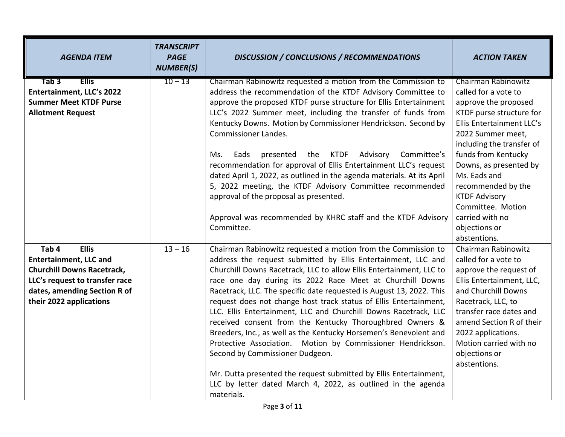| <b>AGENDA ITEM</b>                                                                                                                                                                                  | <b>TRANSCRIPT</b><br><b>PAGE</b><br><b>NUMBER(S)</b> | <b>DISCUSSION / CONCLUSIONS / RECOMMENDATIONS</b>                                                                                                                                                                                                                                                                                                                                                                                                                                                                                                                                                                                                                                                                                                                                                                                                                         | <b>ACTION TAKEN</b>                                                                                                                                                                                                                                                                                                                                           |
|-----------------------------------------------------------------------------------------------------------------------------------------------------------------------------------------------------|------------------------------------------------------|---------------------------------------------------------------------------------------------------------------------------------------------------------------------------------------------------------------------------------------------------------------------------------------------------------------------------------------------------------------------------------------------------------------------------------------------------------------------------------------------------------------------------------------------------------------------------------------------------------------------------------------------------------------------------------------------------------------------------------------------------------------------------------------------------------------------------------------------------------------------------|---------------------------------------------------------------------------------------------------------------------------------------------------------------------------------------------------------------------------------------------------------------------------------------------------------------------------------------------------------------|
| <b>Ellis</b><br>Tab 3<br>Entertainment, LLC's 2022<br><b>Summer Meet KTDF Purse</b><br><b>Allotment Request</b>                                                                                     | $10 - 13$                                            | Chairman Rabinowitz requested a motion from the Commission to<br>address the recommendation of the KTDF Advisory Committee to<br>approve the proposed KTDF purse structure for Ellis Entertainment<br>LLC's 2022 Summer meet, including the transfer of funds from<br>Kentucky Downs. Motion by Commissioner Hendrickson. Second by<br><b>Commissioner Landes.</b><br><b>KTDF</b><br>Advisory<br>Committee's<br>Eads<br>presented<br>the<br>Ms.<br>recommendation for approval of Ellis Entertainment LLC's request<br>dated April 1, 2022, as outlined in the agenda materials. At its April<br>5, 2022 meeting, the KTDF Advisory Committee recommended<br>approval of the proposal as presented.<br>Approval was recommended by KHRC staff and the KTDF Advisory<br>Committee.                                                                                         | <b>Chairman Rabinowitz</b><br>called for a vote to<br>approve the proposed<br>KTDF purse structure for<br>Ellis Entertainment LLC's<br>2022 Summer meet,<br>including the transfer of<br>funds from Kentucky<br>Downs, as presented by<br>Ms. Eads and<br>recommended by the<br><b>KTDF Advisory</b><br>Committee. Motion<br>carried with no<br>objections or |
| Tab <sub>4</sub><br><b>Ellis</b><br><b>Entertainment, LLC and</b><br><b>Churchill Downs Racetrack,</b><br>LLC's request to transfer race<br>dates, amending Section R of<br>their 2022 applications | $13 - 16$                                            | Chairman Rabinowitz requested a motion from the Commission to<br>address the request submitted by Ellis Entertainment, LLC and<br>Churchill Downs Racetrack, LLC to allow Ellis Entertainment, LLC to<br>race one day during its 2022 Race Meet at Churchill Downs<br>Racetrack, LLC. The specific date requested is August 13, 2022. This<br>request does not change host track status of Ellis Entertainment,<br>LLC. Ellis Entertainment, LLC and Churchill Downs Racetrack, LLC<br>received consent from the Kentucky Thoroughbred Owners &<br>Breeders, Inc., as well as the Kentucky Horsemen's Benevolent and<br>Protective Association. Motion by Commissioner Hendrickson.<br>Second by Commissioner Dudgeon.<br>Mr. Dutta presented the request submitted by Ellis Entertainment,<br>LLC by letter dated March 4, 2022, as outlined in the agenda<br>materials. | abstentions.<br>Chairman Rabinowitz<br>called for a vote to<br>approve the request of<br>Ellis Entertainment, LLC,<br>and Churchill Downs<br>Racetrack, LLC, to<br>transfer race dates and<br>amend Section R of their<br>2022 applications.<br>Motion carried with no<br>objections or<br>abstentions.                                                       |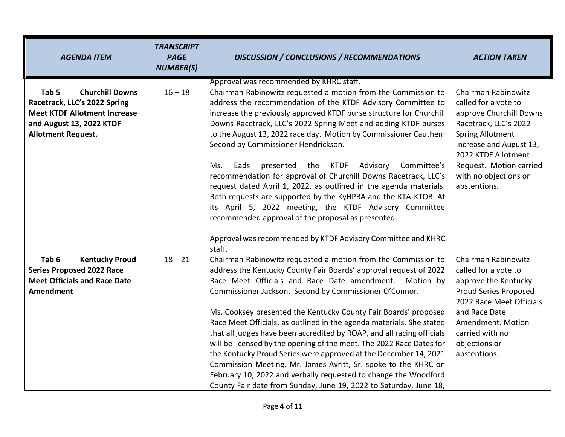| <b>AGENDA ITEM</b>                                                                                                                                                         | <b>TRANSCRIPT</b><br><b>PAGE</b><br><b>NUMBER(S)</b> | <b>DISCUSSION / CONCLUSIONS / RECOMMENDATIONS</b>                                                                                                                                                                                                                                                                                                                                                                                                                                                                                                                                                                                                                                                                                                                                                                                 | <b>ACTION TAKEN</b>                                                                                                                                                                                                                              |
|----------------------------------------------------------------------------------------------------------------------------------------------------------------------------|------------------------------------------------------|-----------------------------------------------------------------------------------------------------------------------------------------------------------------------------------------------------------------------------------------------------------------------------------------------------------------------------------------------------------------------------------------------------------------------------------------------------------------------------------------------------------------------------------------------------------------------------------------------------------------------------------------------------------------------------------------------------------------------------------------------------------------------------------------------------------------------------------|--------------------------------------------------------------------------------------------------------------------------------------------------------------------------------------------------------------------------------------------------|
| Tab <sub>5</sub><br><b>Churchill Downs</b><br>Racetrack, LLC's 2022 Spring<br><b>Meet KTDF Allotment Increase</b><br>and August 13, 2022 KTDF<br><b>Allotment Request.</b> | $16 - 18$                                            | Approval was recommended by KHRC staff.<br>Chairman Rabinowitz requested a motion from the Commission to<br>address the recommendation of the KTDF Advisory Committee to<br>increase the previously approved KTDF purse structure for Churchill<br>Downs Racetrack, LLC's 2022 Spring Meet and adding KTDF purses<br>to the August 13, 2022 race day. Motion by Commissioner Cauthen.<br>Second by Commissioner Hendrickson.<br>presented the KTDF Advisory<br>Committee's<br>Eads<br>Ms.<br>recommendation for approval of Churchill Downs Racetrack, LLC's<br>request dated April 1, 2022, as outlined in the agenda materials.<br>Both requests are supported by the KyHPBA and the KTA-KTOB. At<br>its April 5, 2022 meeting, the KTDF Advisory Committee<br>recommended approval of the proposal as presented.               | Chairman Rabinowitz<br>called for a vote to<br>approve Churchill Downs<br>Racetrack, LLC's 2022<br><b>Spring Allotment</b><br>Increase and August 13,<br>2022 KTDF Allotment<br>Request. Motion carried<br>with no objections or<br>abstentions. |
|                                                                                                                                                                            |                                                      | Approval was recommended by KTDF Advisory Committee and KHRC<br>staff.                                                                                                                                                                                                                                                                                                                                                                                                                                                                                                                                                                                                                                                                                                                                                            |                                                                                                                                                                                                                                                  |
| Tab 6<br><b>Kentucky Proud</b><br><b>Series Proposed 2022 Race</b><br><b>Meet Officials and Race Date</b><br><b>Amendment</b>                                              | $18 - 21$                                            | Chairman Rabinowitz requested a motion from the Commission to<br>address the Kentucky County Fair Boards' approval request of 2022<br>Race Meet Officials and Race Date amendment. Motion by<br>Commissioner Jackson. Second by Commissioner O'Connor.<br>Ms. Cooksey presented the Kentucky County Fair Boards' proposed<br>Race Meet Officials, as outlined in the agenda materials. She stated<br>that all judges have been accredited by ROAP, and all racing officials<br>will be licensed by the opening of the meet. The 2022 Race Dates for<br>the Kentucky Proud Series were approved at the December 14, 2021<br>Commission Meeting. Mr. James Avritt, Sr. spoke to the KHRC on<br>February 10, 2022 and verbally requested to change the Woodford<br>County Fair date from Sunday, June 19, 2022 to Saturday, June 18, | Chairman Rabinowitz<br>called for a vote to<br>approve the Kentucky<br>Proud Series Proposed<br>2022 Race Meet Officials<br>and Race Date<br>Amendment. Motion<br>carried with no<br>objections or<br>abstentions.                               |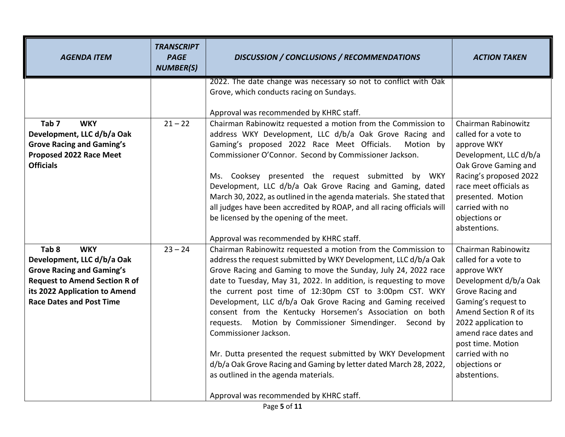| <b>AGENDA ITEM</b>                                                                                                                                                                                           | <b>TRANSCRIPT</b><br><b>PAGE</b><br><b>NUMBER(S)</b> | <b>DISCUSSION / CONCLUSIONS / RECOMMENDATIONS</b>                                                                                                                                                                                                                                                                                                                                                                                                                                                                                                                                                                                                                                                                                                                         | <b>ACTION TAKEN</b>                                                                                                                                                                                                                                                              |
|--------------------------------------------------------------------------------------------------------------------------------------------------------------------------------------------------------------|------------------------------------------------------|---------------------------------------------------------------------------------------------------------------------------------------------------------------------------------------------------------------------------------------------------------------------------------------------------------------------------------------------------------------------------------------------------------------------------------------------------------------------------------------------------------------------------------------------------------------------------------------------------------------------------------------------------------------------------------------------------------------------------------------------------------------------------|----------------------------------------------------------------------------------------------------------------------------------------------------------------------------------------------------------------------------------------------------------------------------------|
|                                                                                                                                                                                                              |                                                      | 2022. The date change was necessary so not to conflict with Oak<br>Grove, which conducts racing on Sundays.<br>Approval was recommended by KHRC staff.                                                                                                                                                                                                                                                                                                                                                                                                                                                                                                                                                                                                                    |                                                                                                                                                                                                                                                                                  |
| Tab <sub>7</sub><br><b>WKY</b><br>Development, LLC d/b/a Oak<br><b>Grove Racing and Gaming's</b><br>Proposed 2022 Race Meet<br><b>Officials</b>                                                              | $21 - 22$                                            | Chairman Rabinowitz requested a motion from the Commission to<br>address WKY Development, LLC d/b/a Oak Grove Racing and<br>Gaming's proposed 2022 Race Meet Officials.<br>Motion by<br>Commissioner O'Connor. Second by Commissioner Jackson.<br>Ms. Cooksey presented the request submitted by WKY<br>Development, LLC d/b/a Oak Grove Racing and Gaming, dated<br>March 30, 2022, as outlined in the agenda materials. She stated that<br>all judges have been accredited by ROAP, and all racing officials will<br>be licensed by the opening of the meet.<br>Approval was recommended by KHRC staff.                                                                                                                                                                 | Chairman Rabinowitz<br>called for a vote to<br>approve WKY<br>Development, LLC d/b/a<br>Oak Grove Gaming and<br>Racing's proposed 2022<br>race meet officials as<br>presented. Motion<br>carried with no<br>objections or<br>abstentions.                                        |
| Tab <sub>8</sub><br><b>WKY</b><br>Development, LLC d/b/a Oak<br><b>Grove Racing and Gaming's</b><br><b>Request to Amend Section R of</b><br>its 2022 Application to Amend<br><b>Race Dates and Post Time</b> | $23 - 24$                                            | Chairman Rabinowitz requested a motion from the Commission to<br>address the request submitted by WKY Development, LLC d/b/a Oak<br>Grove Racing and Gaming to move the Sunday, July 24, 2022 race<br>date to Tuesday, May 31, 2022. In addition, is requesting to move<br>the current post time of 12:30pm CST to 3:00pm CST. WKY<br>Development, LLC d/b/a Oak Grove Racing and Gaming received<br>consent from the Kentucky Horsemen's Association on both<br>requests. Motion by Commissioner Simendinger. Second by<br>Commissioner Jackson.<br>Mr. Dutta presented the request submitted by WKY Development<br>d/b/a Oak Grove Racing and Gaming by letter dated March 28, 2022,<br>as outlined in the agenda materials.<br>Approval was recommended by KHRC staff. | Chairman Rabinowitz<br>called for a vote to<br>approve WKY<br>Development d/b/a Oak<br>Grove Racing and<br>Gaming's request to<br>Amend Section R of its<br>2022 application to<br>amend race dates and<br>post time. Motion<br>carried with no<br>objections or<br>abstentions. |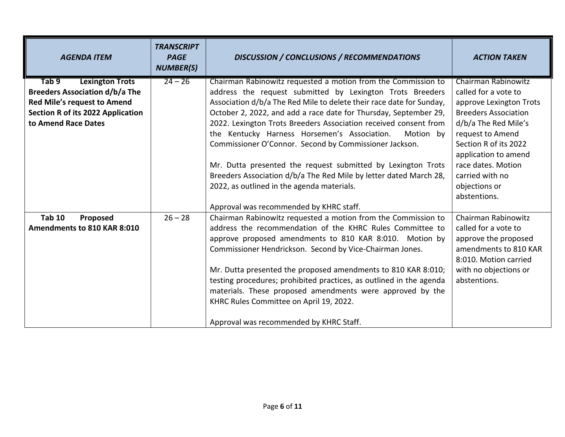| <b>AGENDA ITEM</b>                                                                                                                                                         | <b>TRANSCRIPT</b><br><b>PAGE</b><br><b>NUMBER(S)</b> | <b>DISCUSSION / CONCLUSIONS / RECOMMENDATIONS</b>                                                                                                                                                                                                                                                                                                                                                                                                                                                                                                                                                                                                    | <b>ACTION TAKEN</b>                                                                                                                                                                                                                                                          |
|----------------------------------------------------------------------------------------------------------------------------------------------------------------------------|------------------------------------------------------|------------------------------------------------------------------------------------------------------------------------------------------------------------------------------------------------------------------------------------------------------------------------------------------------------------------------------------------------------------------------------------------------------------------------------------------------------------------------------------------------------------------------------------------------------------------------------------------------------------------------------------------------------|------------------------------------------------------------------------------------------------------------------------------------------------------------------------------------------------------------------------------------------------------------------------------|
| <b>Lexington Trots</b><br>Tab 9<br><b>Breeders Association d/b/a The</b><br>Red Mile's request to Amend<br><b>Section R of its 2022 Application</b><br>to Amend Race Dates | $24 - 26$                                            | Chairman Rabinowitz requested a motion from the Commission to<br>address the request submitted by Lexington Trots Breeders<br>Association d/b/a The Red Mile to delete their race date for Sunday,<br>October 2, 2022, and add a race date for Thursday, September 29,<br>2022. Lexington Trots Breeders Association received consent from<br>the Kentucky Harness Horsemen's Association.<br>Motion by<br>Commissioner O'Connor. Second by Commissioner Jackson.<br>Mr. Dutta presented the request submitted by Lexington Trots<br>Breeders Association d/b/a The Red Mile by letter dated March 28,<br>2022, as outlined in the agenda materials. | Chairman Rabinowitz<br>called for a vote to<br>approve Lexington Trots<br><b>Breeders Association</b><br>d/b/a The Red Mile's<br>request to Amend<br>Section R of its 2022<br>application to amend<br>race dates. Motion<br>carried with no<br>objections or<br>abstentions. |
| <b>Tab 10</b><br>Proposed<br>Amendments to 810 KAR 8:010                                                                                                                   | $26 - 28$                                            | Approval was recommended by KHRC staff.<br>Chairman Rabinowitz requested a motion from the Commission to<br>address the recommendation of the KHRC Rules Committee to<br>approve proposed amendments to 810 KAR 8:010. Motion by<br>Commissioner Hendrickson. Second by Vice-Chairman Jones.<br>Mr. Dutta presented the proposed amendments to 810 KAR 8:010;<br>testing procedures; prohibited practices, as outlined in the agenda<br>materials. These proposed amendments were approved by the<br>KHRC Rules Committee on April 19, 2022.<br>Approval was recommended by KHRC Staff.                                                              | Chairman Rabinowitz<br>called for a vote to<br>approve the proposed<br>amendments to 810 KAR<br>8:010. Motion carried<br>with no objections or<br>abstentions.                                                                                                               |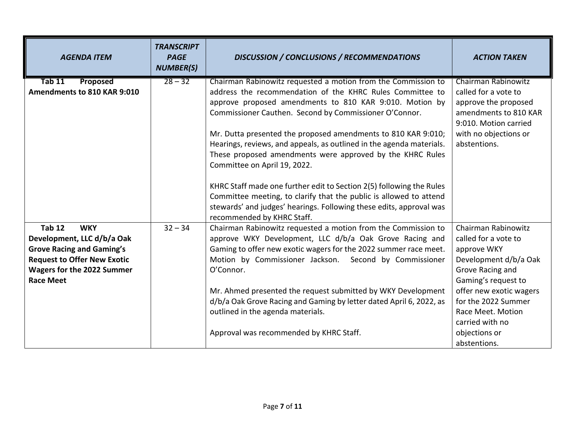| <b>AGENDA ITEM</b>                                                                                                                                                                           | <b>TRANSCRIPT</b><br><b>PAGE</b><br><b>NUMBER(S)</b> | <b>DISCUSSION / CONCLUSIONS / RECOMMENDATIONS</b>                                                                                                                                                                                                                                                                                                                                                                                                                                                                                                                                                                                                                                                          | <b>ACTION TAKEN</b>                                                                                                                                                                                                                                       |
|----------------------------------------------------------------------------------------------------------------------------------------------------------------------------------------------|------------------------------------------------------|------------------------------------------------------------------------------------------------------------------------------------------------------------------------------------------------------------------------------------------------------------------------------------------------------------------------------------------------------------------------------------------------------------------------------------------------------------------------------------------------------------------------------------------------------------------------------------------------------------------------------------------------------------------------------------------------------------|-----------------------------------------------------------------------------------------------------------------------------------------------------------------------------------------------------------------------------------------------------------|
| Proposed<br>Tab 11<br>Amendments to 810 KAR 9:010                                                                                                                                            | $28 - 32$                                            | Chairman Rabinowitz requested a motion from the Commission to<br>address the recommendation of the KHRC Rules Committee to<br>approve proposed amendments to 810 KAR 9:010. Motion by<br>Commissioner Cauthen. Second by Commissioner O'Connor.<br>Mr. Dutta presented the proposed amendments to 810 KAR 9:010;<br>Hearings, reviews, and appeals, as outlined in the agenda materials.<br>These proposed amendments were approved by the KHRC Rules<br>Committee on April 19, 2022.<br>KHRC Staff made one further edit to Section 2(5) following the Rules<br>Committee meeting, to clarify that the public is allowed to attend<br>stewards' and judges' hearings. Following these edits, approval was | <b>Chairman Rabinowitz</b><br>called for a vote to<br>approve the proposed<br>amendments to 810 KAR<br>9:010. Motion carried<br>with no objections or<br>abstentions.                                                                                     |
| <b>Tab 12</b><br><b>WKY</b><br>Development, LLC d/b/a Oak<br><b>Grove Racing and Gaming's</b><br><b>Request to Offer New Exotic</b><br><b>Wagers for the 2022 Summer</b><br><b>Race Meet</b> | $32 - 34$                                            | recommended by KHRC Staff.<br>Chairman Rabinowitz requested a motion from the Commission to<br>approve WKY Development, LLC d/b/a Oak Grove Racing and<br>Gaming to offer new exotic wagers for the 2022 summer race meet.<br>Motion by Commissioner Jackson. Second by Commissioner<br>O'Connor.<br>Mr. Ahmed presented the request submitted by WKY Development<br>d/b/a Oak Grove Racing and Gaming by letter dated April 6, 2022, as<br>outlined in the agenda materials.<br>Approval was recommended by KHRC Staff.                                                                                                                                                                                   | Chairman Rabinowitz<br>called for a vote to<br>approve WKY<br>Development d/b/a Oak<br>Grove Racing and<br>Gaming's request to<br>offer new exotic wagers<br>for the 2022 Summer<br>Race Meet. Motion<br>carried with no<br>objections or<br>abstentions. |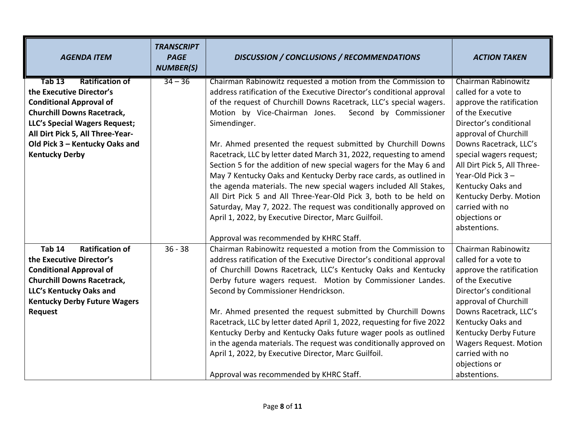| <b>AGENDA ITEM</b>                      | <b>TRANSCRIPT</b><br><b>PAGE</b><br><b>NUMBER(S)</b> | <b>DISCUSSION / CONCLUSIONS / RECOMMENDATIONS</b>                      | <b>ACTION TAKEN</b>           |
|-----------------------------------------|------------------------------------------------------|------------------------------------------------------------------------|-------------------------------|
| <b>Ratification of</b><br><b>Tab 13</b> | $34 - 36$                                            | Chairman Rabinowitz requested a motion from the Commission to          | <b>Chairman Rabinowitz</b>    |
| the Executive Director's                |                                                      | address ratification of the Executive Director's conditional approval  | called for a vote to          |
| <b>Conditional Approval of</b>          |                                                      | of the request of Churchill Downs Racetrack, LLC's special wagers.     | approve the ratification      |
| <b>Churchill Downs Racetrack,</b>       |                                                      | Motion by Vice-Chairman Jones.<br>Second by Commissioner               | of the Executive              |
| LLC's Special Wagers Request;           |                                                      | Simendinger.                                                           | Director's conditional        |
| All Dirt Pick 5, All Three-Year-        |                                                      |                                                                        | approval of Churchill         |
| Old Pick 3 - Kentucky Oaks and          |                                                      | Mr. Ahmed presented the request submitted by Churchill Downs           | Downs Racetrack, LLC's        |
| <b>Kentucky Derby</b>                   |                                                      | Racetrack, LLC by letter dated March 31, 2022, requesting to amend     | special wagers request;       |
|                                         |                                                      | Section 5 for the addition of new special wagers for the May 6 and     | All Dirt Pick 5, All Three-   |
|                                         |                                                      | May 7 Kentucky Oaks and Kentucky Derby race cards, as outlined in      | Year-Old Pick 3-              |
|                                         |                                                      | the agenda materials. The new special wagers included All Stakes,      | Kentucky Oaks and             |
|                                         |                                                      | All Dirt Pick 5 and All Three-Year-Old Pick 3, both to be held on      | Kentucky Derby. Motion        |
|                                         |                                                      | Saturday, May 7, 2022. The request was conditionally approved on       | carried with no               |
|                                         |                                                      | April 1, 2022, by Executive Director, Marc Guilfoil.                   | objections or                 |
|                                         |                                                      |                                                                        | abstentions.                  |
|                                         |                                                      | Approval was recommended by KHRC Staff.                                |                               |
| <b>Tab 14</b><br><b>Ratification of</b> | $36 - 38$                                            | Chairman Rabinowitz requested a motion from the Commission to          | Chairman Rabinowitz           |
| the Executive Director's                |                                                      | address ratification of the Executive Director's conditional approval  | called for a vote to          |
| <b>Conditional Approval of</b>          |                                                      | of Churchill Downs Racetrack, LLC's Kentucky Oaks and Kentucky         | approve the ratification      |
| <b>Churchill Downs Racetrack,</b>       |                                                      | Derby future wagers request. Motion by Commissioner Landes.            | of the Executive              |
| LLC's Kentucky Oaks and                 |                                                      | Second by Commissioner Hendrickson.                                    | Director's conditional        |
| <b>Kentucky Derby Future Wagers</b>     |                                                      |                                                                        | approval of Churchill         |
| <b>Request</b>                          |                                                      | Mr. Ahmed presented the request submitted by Churchill Downs           | Downs Racetrack, LLC's        |
|                                         |                                                      | Racetrack, LLC by letter dated April 1, 2022, requesting for five 2022 | Kentucky Oaks and             |
|                                         |                                                      | Kentucky Derby and Kentucky Oaks future wager pools as outlined        | Kentucky Derby Future         |
|                                         |                                                      | in the agenda materials. The request was conditionally approved on     | <b>Wagers Request. Motion</b> |
|                                         |                                                      | April 1, 2022, by Executive Director, Marc Guilfoil.                   | carried with no               |
|                                         |                                                      |                                                                        | objections or                 |
|                                         |                                                      | Approval was recommended by KHRC Staff.                                | abstentions.                  |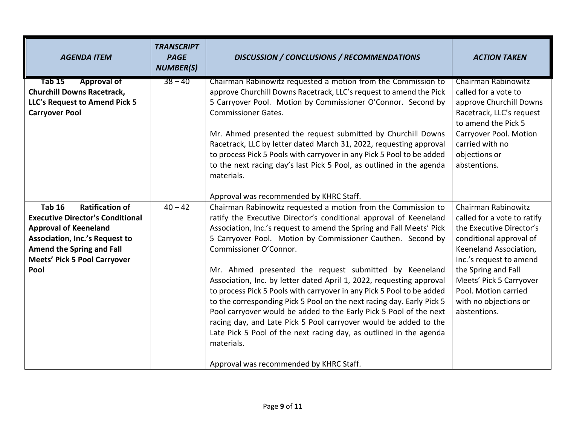| <b>AGENDA ITEM</b>                                                                                                                                                                                                                             | <b>TRANSCRIPT</b><br><b>PAGE</b><br><b>NUMBER(S)</b> | <b>DISCUSSION / CONCLUSIONS / RECOMMENDATIONS</b>                                                                                                                                                                                                                                                                                                                                                                                                                                                                                                                                                                                                                                                                                                                                                                                                                                                           | <b>ACTION TAKEN</b>                                                                                                                                                                                                                                                               |
|------------------------------------------------------------------------------------------------------------------------------------------------------------------------------------------------------------------------------------------------|------------------------------------------------------|-------------------------------------------------------------------------------------------------------------------------------------------------------------------------------------------------------------------------------------------------------------------------------------------------------------------------------------------------------------------------------------------------------------------------------------------------------------------------------------------------------------------------------------------------------------------------------------------------------------------------------------------------------------------------------------------------------------------------------------------------------------------------------------------------------------------------------------------------------------------------------------------------------------|-----------------------------------------------------------------------------------------------------------------------------------------------------------------------------------------------------------------------------------------------------------------------------------|
| <b>Tab 15</b><br><b>Approval of</b><br><b>Churchill Downs Racetrack,</b><br>LLC's Request to Amend Pick 5<br><b>Carryover Pool</b>                                                                                                             | $38 - 40$                                            | Chairman Rabinowitz requested a motion from the Commission to<br>approve Churchill Downs Racetrack, LLC's request to amend the Pick<br>5 Carryover Pool. Motion by Commissioner O'Connor. Second by<br><b>Commissioner Gates.</b><br>Mr. Ahmed presented the request submitted by Churchill Downs<br>Racetrack, LLC by letter dated March 31, 2022, requesting approval<br>to process Pick 5 Pools with carryover in any Pick 5 Pool to be added<br>to the next racing day's last Pick 5 Pool, as outlined in the agenda<br>materials.                                                                                                                                                                                                                                                                                                                                                                      | Chairman Rabinowitz<br>called for a vote to<br>approve Churchill Downs<br>Racetrack, LLC's request<br>to amend the Pick 5<br>Carryover Pool. Motion<br>carried with no<br>objections or<br>abstentions.                                                                           |
| <b>Ratification of</b><br><b>Tab 16</b><br><b>Executive Director's Conditional</b><br><b>Approval of Keeneland</b><br><b>Association, Inc.'s Request to</b><br><b>Amend the Spring and Fall</b><br><b>Meets' Pick 5 Pool Carryover</b><br>Pool | $40 - 42$                                            | Approval was recommended by KHRC Staff.<br>Chairman Rabinowitz requested a motion from the Commission to<br>ratify the Executive Director's conditional approval of Keeneland<br>Association, Inc.'s request to amend the Spring and Fall Meets' Pick<br>5 Carryover Pool. Motion by Commissioner Cauthen. Second by<br>Commissioner O'Connor.<br>Mr. Ahmed presented the request submitted by Keeneland<br>Association, Inc. by letter dated April 1, 2022, requesting approval<br>to process Pick 5 Pools with carryover in any Pick 5 Pool to be added<br>to the corresponding Pick 5 Pool on the next racing day. Early Pick 5<br>Pool carryover would be added to the Early Pick 5 Pool of the next<br>racing day, and Late Pick 5 Pool carryover would be added to the<br>Late Pick 5 Pool of the next racing day, as outlined in the agenda<br>materials.<br>Approval was recommended by KHRC Staff. | Chairman Rabinowitz<br>called for a vote to ratify<br>the Executive Director's<br>conditional approval of<br>Keeneland Association,<br>Inc.'s request to amend<br>the Spring and Fall<br>Meets' Pick 5 Carryover<br>Pool. Motion carried<br>with no objections or<br>abstentions. |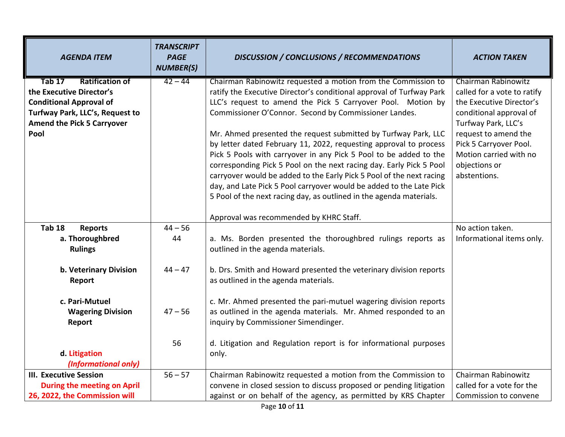| <b>AGENDA ITEM</b>                 | <b>TRANSCRIPT</b><br><b>PAGE</b><br><b>NUMBER(S)</b> | <b>DISCUSSION / CONCLUSIONS / RECOMMENDATIONS</b>                                                                                      | <b>ACTION TAKEN</b>                            |
|------------------------------------|------------------------------------------------------|----------------------------------------------------------------------------------------------------------------------------------------|------------------------------------------------|
| <b>Ratification of</b><br>Tab 17   | $42 - 44$                                            | Chairman Rabinowitz requested a motion from the Commission to                                                                          | <b>Chairman Rabinowitz</b>                     |
| the Executive Director's           |                                                      | ratify the Executive Director's conditional approval of Turfway Park                                                                   | called for a vote to ratify                    |
| <b>Conditional Approval of</b>     |                                                      | LLC's request to amend the Pick 5 Carryover Pool. Motion by                                                                            | the Executive Director's                       |
| Turfway Park, LLC's, Request to    |                                                      | Commissioner O'Connor. Second by Commissioner Landes.                                                                                  | conditional approval of                        |
| <b>Amend the Pick 5 Carryover</b>  |                                                      |                                                                                                                                        | Turfway Park, LLC's                            |
| Pool                               |                                                      | Mr. Ahmed presented the request submitted by Turfway Park, LLC                                                                         | request to amend the<br>Pick 5 Carryover Pool. |
|                                    |                                                      | by letter dated February 11, 2022, requesting approval to process<br>Pick 5 Pools with carryover in any Pick 5 Pool to be added to the | Motion carried with no                         |
|                                    |                                                      | corresponding Pick 5 Pool on the next racing day. Early Pick 5 Pool                                                                    | objections or                                  |
|                                    |                                                      | carryover would be added to the Early Pick 5 Pool of the next racing                                                                   | abstentions.                                   |
|                                    |                                                      | day, and Late Pick 5 Pool carryover would be added to the Late Pick                                                                    |                                                |
|                                    |                                                      | 5 Pool of the next racing day, as outlined in the agenda materials.                                                                    |                                                |
|                                    |                                                      |                                                                                                                                        |                                                |
|                                    |                                                      | Approval was recommended by KHRC Staff.                                                                                                |                                                |
| <b>Tab 18</b><br><b>Reports</b>    | $44 - 56$                                            |                                                                                                                                        | No action taken.                               |
| a. Thoroughbred                    | 44                                                   | a. Ms. Borden presented the thoroughbred rulings reports as                                                                            | Informational items only.                      |
| <b>Rulings</b>                     |                                                      | outlined in the agenda materials.                                                                                                      |                                                |
|                                    |                                                      |                                                                                                                                        |                                                |
| b. Veterinary Division             | $44 - 47$                                            | b. Drs. Smith and Howard presented the veterinary division reports<br>as outlined in the agenda materials.                             |                                                |
| Report                             |                                                      |                                                                                                                                        |                                                |
| c. Pari-Mutuel                     |                                                      | c. Mr. Ahmed presented the pari-mutuel wagering division reports                                                                       |                                                |
| <b>Wagering Division</b>           | $47 - 56$                                            | as outlined in the agenda materials. Mr. Ahmed responded to an                                                                         |                                                |
| Report                             |                                                      | inquiry by Commissioner Simendinger.                                                                                                   |                                                |
|                                    |                                                      |                                                                                                                                        |                                                |
|                                    | 56                                                   | d. Litigation and Regulation report is for informational purposes                                                                      |                                                |
| d. Litigation                      |                                                      | only.                                                                                                                                  |                                                |
| (Informational only)               |                                                      |                                                                                                                                        |                                                |
| <b>III. Executive Session</b>      | $56 - 57$                                            | Chairman Rabinowitz requested a motion from the Commission to                                                                          | Chairman Rabinowitz                            |
| <b>During the meeting on April</b> |                                                      | convene in closed session to discuss proposed or pending litigation                                                                    | called for a vote for the                      |
| 26, 2022, the Commission will      |                                                      | against or on behalf of the agency, as permitted by KRS Chapter                                                                        | Commission to convene                          |